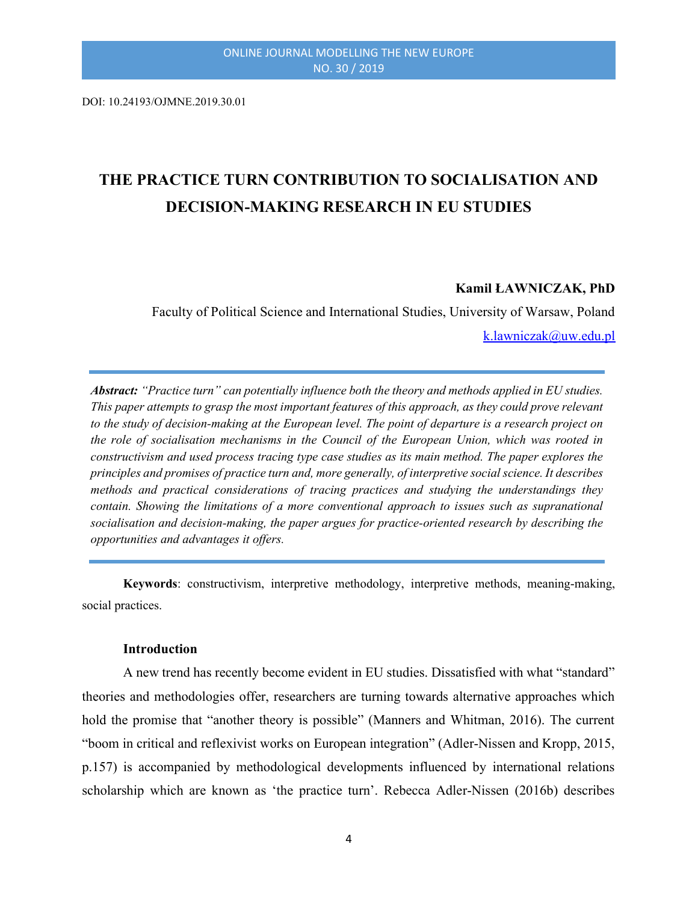DOI: 10.24193/OJMNE.2019.30.01

# THE PRACTICE TURN CONTRIBUTION TO SOCIALISATION AND DECISION-MAKING RESEARCH IN EU STUDIES

#### Kamil ŁAWNICZAK, PhD

Faculty of Political Science and International Studies, University of Warsaw, Poland k.lawniczak@uw.edu.pl

Abstract: "Practice turn" can potentially influence both the theory and methods applied in EU studies. This paper attempts to grasp the most important features of this approach, as they could prove relevant to the study of decision-making at the European level. The point of departure is a research project on the role of socialisation mechanisms in the Council of the European Union, which was rooted in constructivism and used process tracing type case studies as its main method. The paper explores the principles and promises of practice turn and, more generally, of interpretive social science. It describes methods and practical considerations of tracing practices and studying the understandings they contain. Showing the limitations of a more conventional approach to issues such as supranational socialisation and decision-making, the paper argues for practice-oriented research by describing the opportunities and advantages it offers.

Keywords: constructivism, interpretive methodology, interpretive methods, meaning-making, social practices.

#### **Introduction**

A new trend has recently become evident in EU studies. Dissatisfied with what "standard" theories and methodologies offer, researchers are turning towards alternative approaches which hold the promise that "another theory is possible" (Manners and Whitman, 2016). The current "boom in critical and reflexivist works on European integration" (Adler-Nissen and Kropp, 2015, p.157) is accompanied by methodological developments influenced by international relations scholarship which are known as 'the practice turn'. Rebecca Adler-Nissen (2016b) describes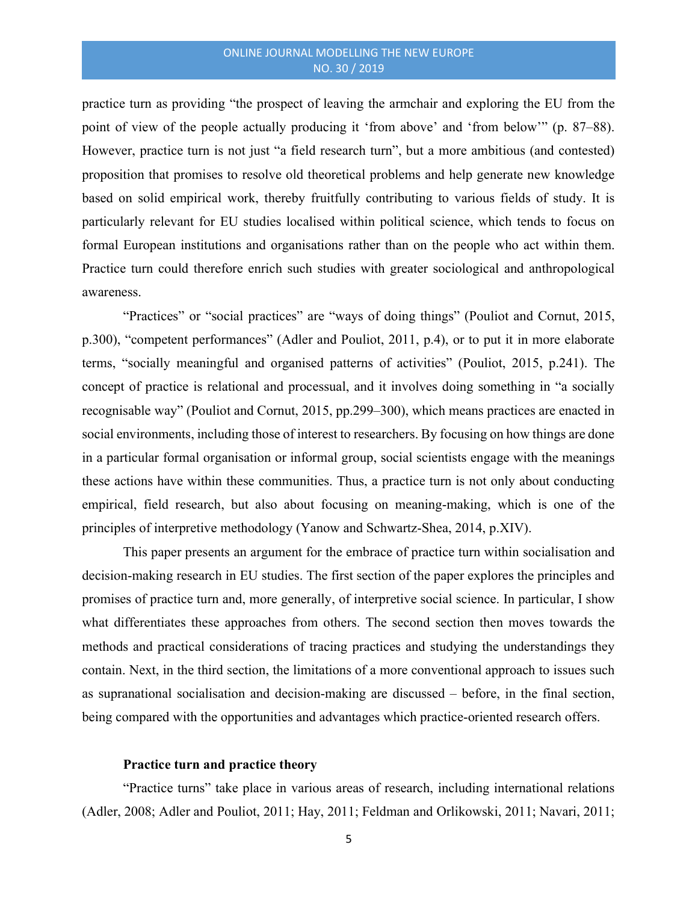practice turn as providing "the prospect of leaving the armchair and exploring the EU from the point of view of the people actually producing it 'from above' and 'from below'" (p. 87–88). However, practice turn is not just "a field research turn", but a more ambitious (and contested) proposition that promises to resolve old theoretical problems and help generate new knowledge based on solid empirical work, thereby fruitfully contributing to various fields of study. It is particularly relevant for EU studies localised within political science, which tends to focus on formal European institutions and organisations rather than on the people who act within them. Practice turn could therefore enrich such studies with greater sociological and anthropological awareness.

"Practices" or "social practices" are "ways of doing things" (Pouliot and Cornut, 2015, p.300), "competent performances" (Adler and Pouliot, 2011, p.4), or to put it in more elaborate terms, "socially meaningful and organised patterns of activities" (Pouliot, 2015, p.241). The concept of practice is relational and processual, and it involves doing something in "a socially recognisable way" (Pouliot and Cornut, 2015, pp.299–300), which means practices are enacted in social environments, including those of interest to researchers. By focusing on how things are done in a particular formal organisation or informal group, social scientists engage with the meanings these actions have within these communities. Thus, a practice turn is not only about conducting empirical, field research, but also about focusing on meaning-making, which is one of the principles of interpretive methodology (Yanow and Schwartz-Shea, 2014, p.XIV).

This paper presents an argument for the embrace of practice turn within socialisation and decision-making research in EU studies. The first section of the paper explores the principles and promises of practice turn and, more generally, of interpretive social science. In particular, I show what differentiates these approaches from others. The second section then moves towards the methods and practical considerations of tracing practices and studying the understandings they contain. Next, in the third section, the limitations of a more conventional approach to issues such as supranational socialisation and decision-making are discussed – before, in the final section, being compared with the opportunities and advantages which practice-oriented research offers.

#### Practice turn and practice theory

"Practice turns" take place in various areas of research, including international relations (Adler, 2008; Adler and Pouliot, 2011; Hay, 2011; Feldman and Orlikowski, 2011; Navari, 2011;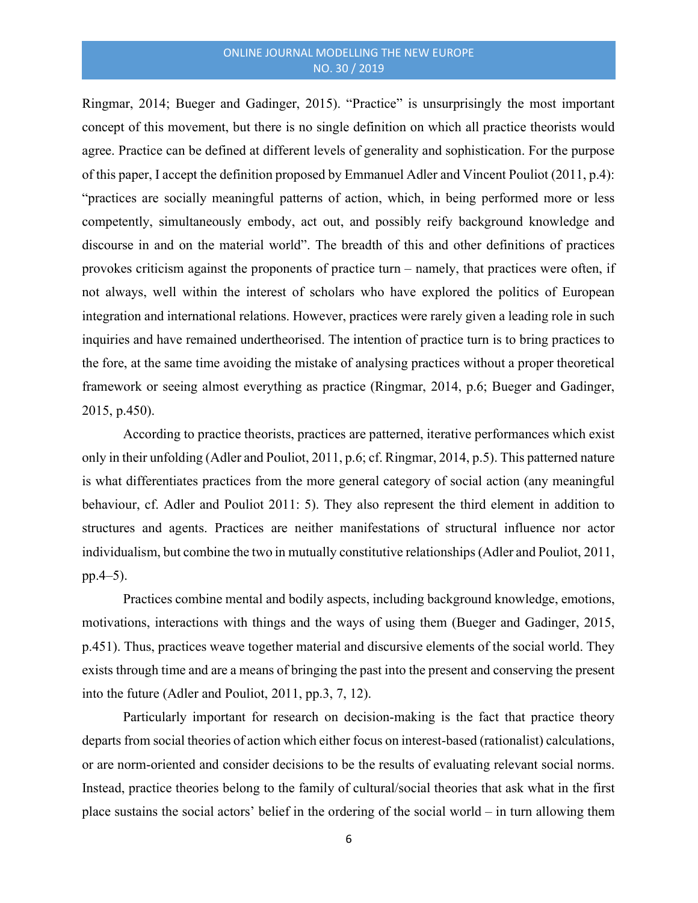Ringmar, 2014; Bueger and Gadinger, 2015). "Practice" is unsurprisingly the most important concept of this movement, but there is no single definition on which all practice theorists would agree. Practice can be defined at different levels of generality and sophistication. For the purpose of this paper, I accept the definition proposed by Emmanuel Adler and Vincent Pouliot (2011, p.4): "practices are socially meaningful patterns of action, which, in being performed more or less competently, simultaneously embody, act out, and possibly reify background knowledge and discourse in and on the material world". The breadth of this and other definitions of practices provokes criticism against the proponents of practice turn – namely, that practices were often, if not always, well within the interest of scholars who have explored the politics of European integration and international relations. However, practices were rarely given a leading role in such inquiries and have remained undertheorised. The intention of practice turn is to bring practices to the fore, at the same time avoiding the mistake of analysing practices without a proper theoretical framework or seeing almost everything as practice (Ringmar, 2014, p.6; Bueger and Gadinger, 2015, p.450).

According to practice theorists, practices are patterned, iterative performances which exist only in their unfolding (Adler and Pouliot, 2011, p.6; cf. Ringmar, 2014, p.5). This patterned nature is what differentiates practices from the more general category of social action (any meaningful behaviour, cf. Adler and Pouliot 2011: 5). They also represent the third element in addition to structures and agents. Practices are neither manifestations of structural influence nor actor individualism, but combine the two in mutually constitutive relationships (Adler and Pouliot, 2011, pp.4–5).

Practices combine mental and bodily aspects, including background knowledge, emotions, motivations, interactions with things and the ways of using them (Bueger and Gadinger, 2015, p.451). Thus, practices weave together material and discursive elements of the social world. They exists through time and are a means of bringing the past into the present and conserving the present into the future (Adler and Pouliot, 2011, pp.3, 7, 12).

Particularly important for research on decision-making is the fact that practice theory departs from social theories of action which either focus on interest-based (rationalist) calculations, or are norm-oriented and consider decisions to be the results of evaluating relevant social norms. Instead, practice theories belong to the family of cultural/social theories that ask what in the first place sustains the social actors' belief in the ordering of the social world – in turn allowing them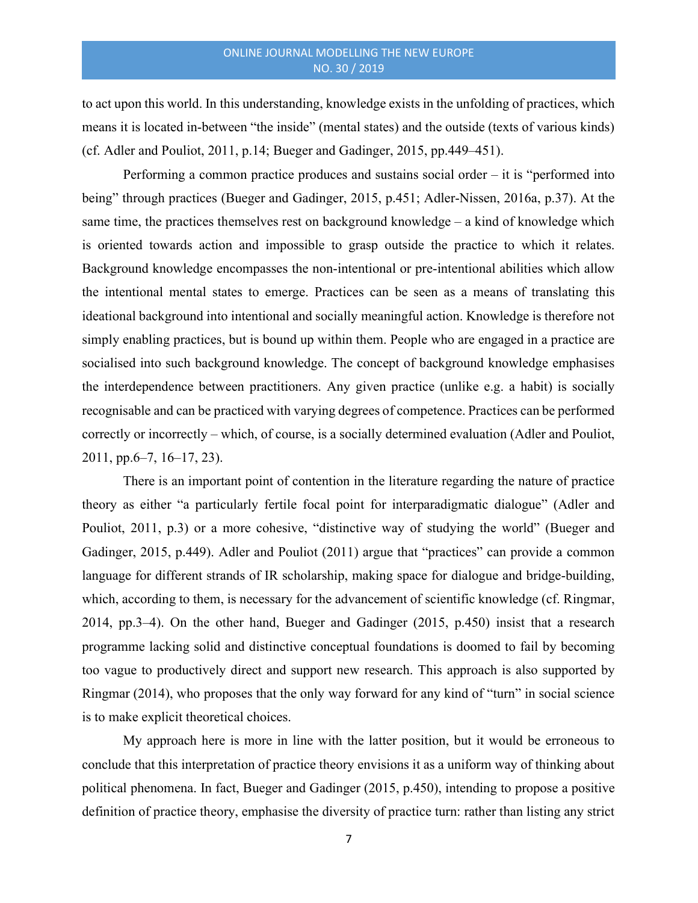to act upon this world. In this understanding, knowledge exists in the unfolding of practices, which means it is located in-between "the inside" (mental states) and the outside (texts of various kinds) (cf. Adler and Pouliot, 2011, p.14; Bueger and Gadinger, 2015, pp.449–451).

Performing a common practice produces and sustains social order – it is "performed into being" through practices (Bueger and Gadinger, 2015, p.451; Adler-Nissen, 2016a, p.37). At the same time, the practices themselves rest on background knowledge – a kind of knowledge which is oriented towards action and impossible to grasp outside the practice to which it relates. Background knowledge encompasses the non-intentional or pre-intentional abilities which allow the intentional mental states to emerge. Practices can be seen as a means of translating this ideational background into intentional and socially meaningful action. Knowledge is therefore not simply enabling practices, but is bound up within them. People who are engaged in a practice are socialised into such background knowledge. The concept of background knowledge emphasises the interdependence between practitioners. Any given practice (unlike e.g. a habit) is socially recognisable and can be practiced with varying degrees of competence. Practices can be performed correctly or incorrectly – which, of course, is a socially determined evaluation (Adler and Pouliot, 2011, pp.6–7, 16–17, 23).

There is an important point of contention in the literature regarding the nature of practice theory as either "a particularly fertile focal point for interparadigmatic dialogue" (Adler and Pouliot, 2011, p.3) or a more cohesive, "distinctive way of studying the world" (Bueger and Gadinger, 2015, p.449). Adler and Pouliot (2011) argue that "practices" can provide a common language for different strands of IR scholarship, making space for dialogue and bridge-building, which, according to them, is necessary for the advancement of scientific knowledge (cf. Ringmar, 2014, pp.3–4). On the other hand, Bueger and Gadinger (2015, p.450) insist that a research programme lacking solid and distinctive conceptual foundations is doomed to fail by becoming too vague to productively direct and support new research. This approach is also supported by Ringmar (2014), who proposes that the only way forward for any kind of "turn" in social science is to make explicit theoretical choices.

My approach here is more in line with the latter position, but it would be erroneous to conclude that this interpretation of practice theory envisions it as a uniform way of thinking about political phenomena. In fact, Bueger and Gadinger (2015, p.450), intending to propose a positive definition of practice theory, emphasise the diversity of practice turn: rather than listing any strict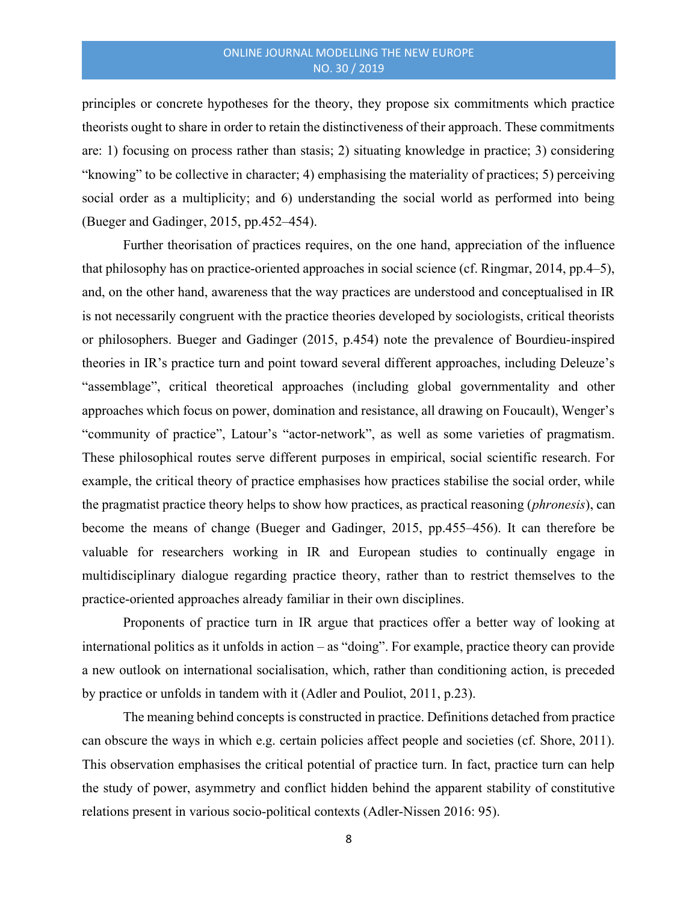principles or concrete hypotheses for the theory, they propose six commitments which practice theorists ought to share in order to retain the distinctiveness of their approach. These commitments are: 1) focusing on process rather than stasis; 2) situating knowledge in practice; 3) considering "knowing" to be collective in character; 4) emphasising the materiality of practices; 5) perceiving social order as a multiplicity; and 6) understanding the social world as performed into being (Bueger and Gadinger, 2015, pp.452–454).

Further theorisation of practices requires, on the one hand, appreciation of the influence that philosophy has on practice-oriented approaches in social science (cf. Ringmar, 2014, pp.4–5), and, on the other hand, awareness that the way practices are understood and conceptualised in IR is not necessarily congruent with the practice theories developed by sociologists, critical theorists or philosophers. Bueger and Gadinger (2015, p.454) note the prevalence of Bourdieu-inspired theories in IR's practice turn and point toward several different approaches, including Deleuze's "assemblage", critical theoretical approaches (including global governmentality and other approaches which focus on power, domination and resistance, all drawing on Foucault), Wenger's "community of practice", Latour's "actor-network", as well as some varieties of pragmatism. These philosophical routes serve different purposes in empirical, social scientific research. For example, the critical theory of practice emphasises how practices stabilise the social order, while the pragmatist practice theory helps to show how practices, as practical reasoning (*phronesis*), can become the means of change (Bueger and Gadinger, 2015, pp.455–456). It can therefore be valuable for researchers working in IR and European studies to continually engage in multidisciplinary dialogue regarding practice theory, rather than to restrict themselves to the practice-oriented approaches already familiar in their own disciplines.

Proponents of practice turn in IR argue that practices offer a better way of looking at international politics as it unfolds in action – as "doing". For example, practice theory can provide a new outlook on international socialisation, which, rather than conditioning action, is preceded by practice or unfolds in tandem with it (Adler and Pouliot, 2011, p.23).

The meaning behind concepts is constructed in practice. Definitions detached from practice can obscure the ways in which e.g. certain policies affect people and societies (cf. Shore, 2011). This observation emphasises the critical potential of practice turn. In fact, practice turn can help the study of power, asymmetry and conflict hidden behind the apparent stability of constitutive relations present in various socio-political contexts (Adler-Nissen 2016: 95).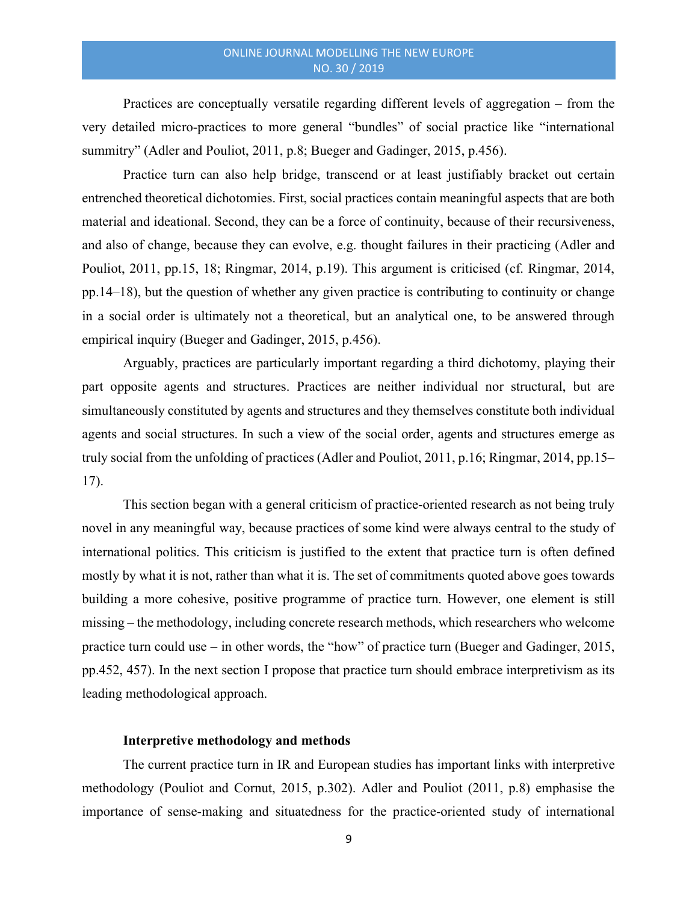Practices are conceptually versatile regarding different levels of aggregation – from the very detailed micro-practices to more general "bundles" of social practice like "international summitry" (Adler and Pouliot, 2011, p.8; Bueger and Gadinger, 2015, p.456).

Practice turn can also help bridge, transcend or at least justifiably bracket out certain entrenched theoretical dichotomies. First, social practices contain meaningful aspects that are both material and ideational. Second, they can be a force of continuity, because of their recursiveness, and also of change, because they can evolve, e.g. thought failures in their practicing (Adler and Pouliot, 2011, pp.15, 18; Ringmar, 2014, p.19). This argument is criticised (cf. Ringmar, 2014, pp.14–18), but the question of whether any given practice is contributing to continuity or change in a social order is ultimately not a theoretical, but an analytical one, to be answered through empirical inquiry (Bueger and Gadinger, 2015, p.456).

Arguably, practices are particularly important regarding a third dichotomy, playing their part opposite agents and structures. Practices are neither individual nor structural, but are simultaneously constituted by agents and structures and they themselves constitute both individual agents and social structures. In such a view of the social order, agents and structures emerge as truly social from the unfolding of practices (Adler and Pouliot, 2011, p.16; Ringmar, 2014, pp.15– 17).

This section began with a general criticism of practice-oriented research as not being truly novel in any meaningful way, because practices of some kind were always central to the study of international politics. This criticism is justified to the extent that practice turn is often defined mostly by what it is not, rather than what it is. The set of commitments quoted above goes towards building a more cohesive, positive programme of practice turn. However, one element is still missing – the methodology, including concrete research methods, which researchers who welcome practice turn could use – in other words, the "how" of practice turn (Bueger and Gadinger, 2015, pp.452, 457). In the next section I propose that practice turn should embrace interpretivism as its leading methodological approach.

#### Interpretive methodology and methods

The current practice turn in IR and European studies has important links with interpretive methodology (Pouliot and Cornut, 2015, p.302). Adler and Pouliot (2011, p.8) emphasise the importance of sense-making and situatedness for the practice-oriented study of international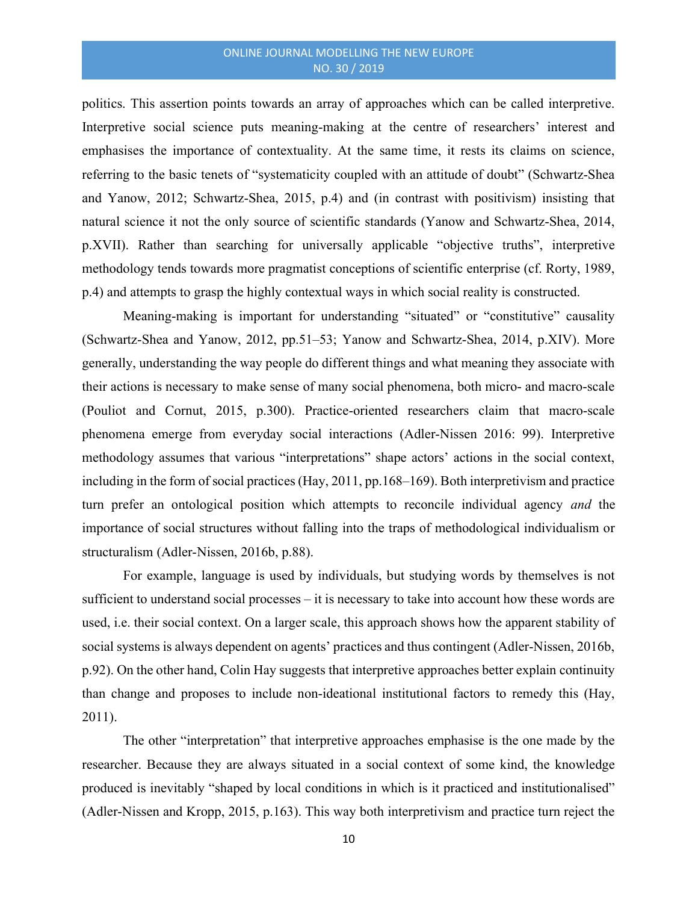politics. This assertion points towards an array of approaches which can be called interpretive. Interpretive social science puts meaning-making at the centre of researchers' interest and emphasises the importance of contextuality. At the same time, it rests its claims on science, referring to the basic tenets of "systematicity coupled with an attitude of doubt" (Schwartz-Shea and Yanow, 2012; Schwartz-Shea, 2015, p.4) and (in contrast with positivism) insisting that natural science it not the only source of scientific standards (Yanow and Schwartz-Shea, 2014, p.XVII). Rather than searching for universally applicable "objective truths", interpretive methodology tends towards more pragmatist conceptions of scientific enterprise (cf. Rorty, 1989, p.4) and attempts to grasp the highly contextual ways in which social reality is constructed.

Meaning-making is important for understanding "situated" or "constitutive" causality (Schwartz-Shea and Yanow, 2012, pp.51–53; Yanow and Schwartz-Shea, 2014, p.XIV). More generally, understanding the way people do different things and what meaning they associate with their actions is necessary to make sense of many social phenomena, both micro- and macro-scale (Pouliot and Cornut, 2015, p.300). Practice-oriented researchers claim that macro-scale phenomena emerge from everyday social interactions (Adler-Nissen 2016: 99). Interpretive methodology assumes that various "interpretations" shape actors' actions in the social context, including in the form of social practices (Hay, 2011, pp.168–169). Both interpretivism and practice turn prefer an ontological position which attempts to reconcile individual agency *and* the importance of social structures without falling into the traps of methodological individualism or structuralism (Adler-Nissen, 2016b, p.88).

For example, language is used by individuals, but studying words by themselves is not sufficient to understand social processes – it is necessary to take into account how these words are used, i.e. their social context. On a larger scale, this approach shows how the apparent stability of social systems is always dependent on agents' practices and thus contingent (Adler-Nissen, 2016b, p.92). On the other hand, Colin Hay suggests that interpretive approaches better explain continuity than change and proposes to include non-ideational institutional factors to remedy this (Hay, 2011).

The other "interpretation" that interpretive approaches emphasise is the one made by the researcher. Because they are always situated in a social context of some kind, the knowledge produced is inevitably "shaped by local conditions in which is it practiced and institutionalised" (Adler-Nissen and Kropp, 2015, p.163). This way both interpretivism and practice turn reject the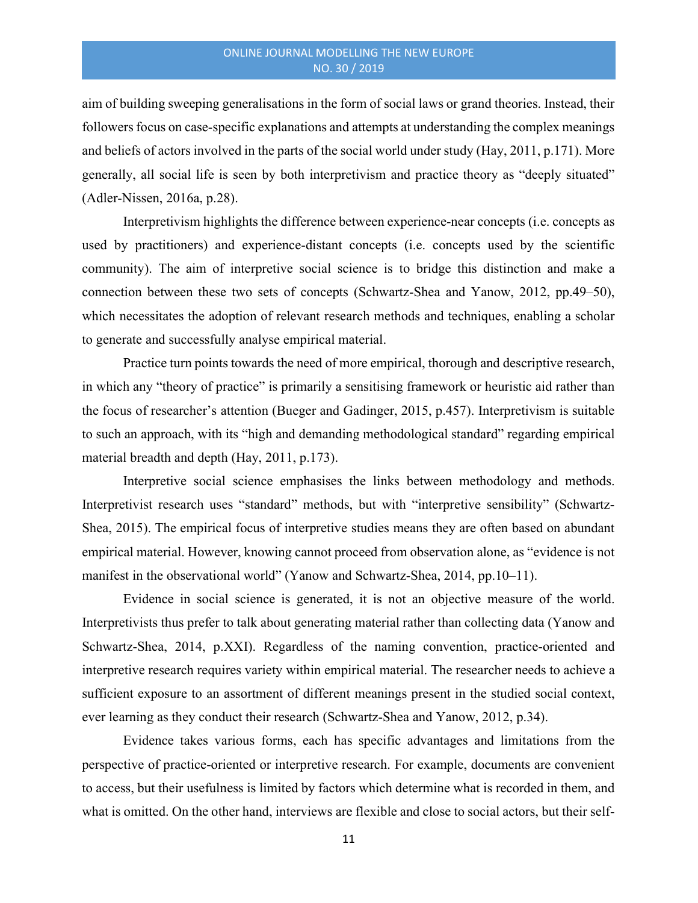aim of building sweeping generalisations in the form of social laws or grand theories. Instead, their followers focus on case-specific explanations and attempts at understanding the complex meanings and beliefs of actors involved in the parts of the social world under study (Hay, 2011, p.171). More generally, all social life is seen by both interpretivism and practice theory as "deeply situated" (Adler-Nissen, 2016a, p.28).

Interpretivism highlights the difference between experience-near concepts (i.e. concepts as used by practitioners) and experience-distant concepts (i.e. concepts used by the scientific community). The aim of interpretive social science is to bridge this distinction and make a connection between these two sets of concepts (Schwartz-Shea and Yanow, 2012, pp.49–50), which necessitates the adoption of relevant research methods and techniques, enabling a scholar to generate and successfully analyse empirical material.

Practice turn points towards the need of more empirical, thorough and descriptive research, in which any "theory of practice" is primarily a sensitising framework or heuristic aid rather than the focus of researcher's attention (Bueger and Gadinger, 2015, p.457). Interpretivism is suitable to such an approach, with its "high and demanding methodological standard" regarding empirical material breadth and depth (Hay, 2011, p.173).

Interpretive social science emphasises the links between methodology and methods. Interpretivist research uses "standard" methods, but with "interpretive sensibility" (Schwartz-Shea, 2015). The empirical focus of interpretive studies means they are often based on abundant empirical material. However, knowing cannot proceed from observation alone, as "evidence is not manifest in the observational world" (Yanow and Schwartz-Shea, 2014, pp.10–11).

Evidence in social science is generated, it is not an objective measure of the world. Interpretivists thus prefer to talk about generating material rather than collecting data (Yanow and Schwartz-Shea, 2014, p.XXI). Regardless of the naming convention, practice-oriented and interpretive research requires variety within empirical material. The researcher needs to achieve a sufficient exposure to an assortment of different meanings present in the studied social context, ever learning as they conduct their research (Schwartz-Shea and Yanow, 2012, p.34).

Evidence takes various forms, each has specific advantages and limitations from the perspective of practice-oriented or interpretive research. For example, documents are convenient to access, but their usefulness is limited by factors which determine what is recorded in them, and what is omitted. On the other hand, interviews are flexible and close to social actors, but their self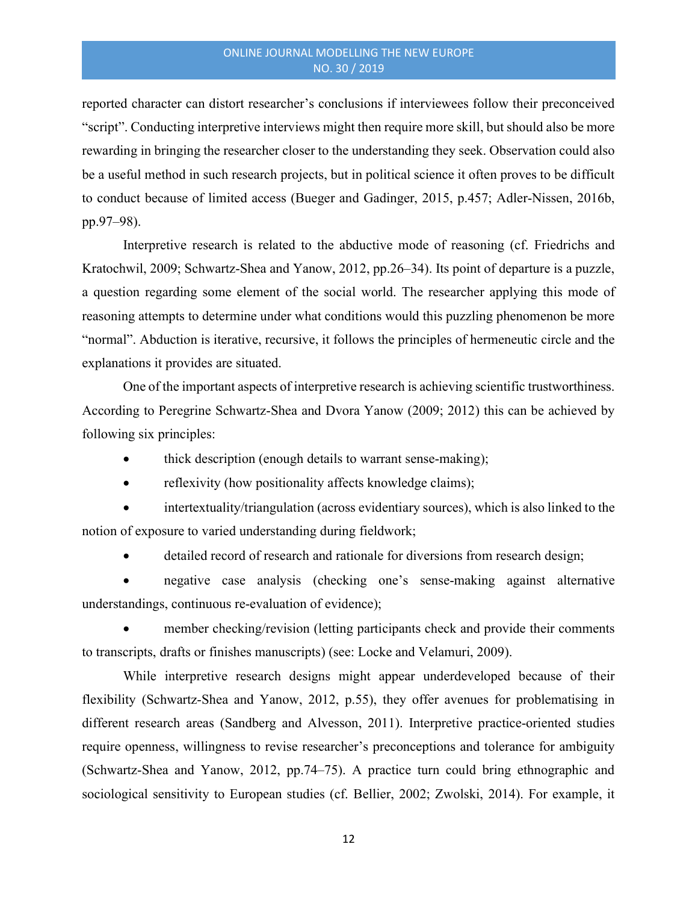reported character can distort researcher's conclusions if interviewees follow their preconceived "script". Conducting interpretive interviews might then require more skill, but should also be more rewarding in bringing the researcher closer to the understanding they seek. Observation could also be a useful method in such research projects, but in political science it often proves to be difficult to conduct because of limited access (Bueger and Gadinger, 2015, p.457; Adler-Nissen, 2016b, pp.97–98).

Interpretive research is related to the abductive mode of reasoning (cf. Friedrichs and Kratochwil, 2009; Schwartz-Shea and Yanow, 2012, pp.26–34). Its point of departure is a puzzle, a question regarding some element of the social world. The researcher applying this mode of reasoning attempts to determine under what conditions would this puzzling phenomenon be more "normal". Abduction is iterative, recursive, it follows the principles of hermeneutic circle and the explanations it provides are situated.

One of the important aspects of interpretive research is achieving scientific trustworthiness. According to Peregrine Schwartz-Shea and Dvora Yanow (2009; 2012) this can be achieved by following six principles:

- thick description (enough details to warrant sense-making);
- reflexivity (how positionality affects knowledge claims);

 intertextuality/triangulation (across evidentiary sources), which is also linked to the notion of exposure to varied understanding during fieldwork;

detailed record of research and rationale for diversions from research design;

 negative case analysis (checking one's sense-making against alternative understandings, continuous re-evaluation of evidence);

 member checking/revision (letting participants check and provide their comments to transcripts, drafts or finishes manuscripts) (see: Locke and Velamuri, 2009).

While interpretive research designs might appear underdeveloped because of their flexibility (Schwartz-Shea and Yanow, 2012, p.55), they offer avenues for problematising in different research areas (Sandberg and Alvesson, 2011). Interpretive practice-oriented studies require openness, willingness to revise researcher's preconceptions and tolerance for ambiguity (Schwartz-Shea and Yanow, 2012, pp.74–75). A practice turn could bring ethnographic and sociological sensitivity to European studies (cf. Bellier, 2002; Zwolski, 2014). For example, it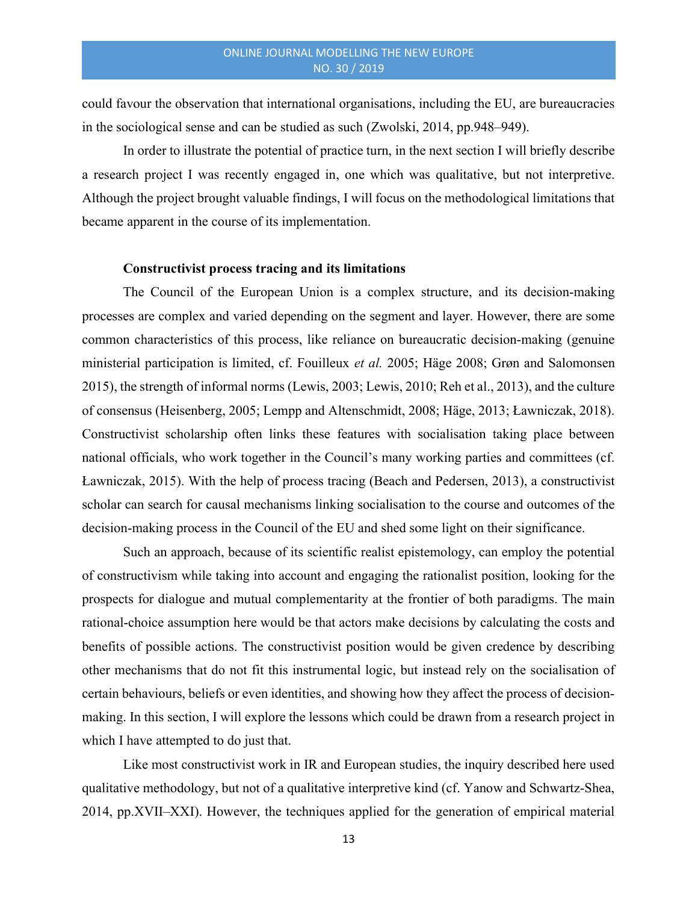could favour the observation that international organisations, including the EU, are bureaucracies in the sociological sense and can be studied as such (Zwolski, 2014, pp.948–949).

In order to illustrate the potential of practice turn, in the next section I will briefly describe a research project I was recently engaged in, one which was qualitative, but not interpretive. Although the project brought valuable findings, I will focus on the methodological limitations that became apparent in the course of its implementation.

#### Constructivist process tracing and its limitations

The Council of the European Union is a complex structure, and its decision-making processes are complex and varied depending on the segment and layer. However, there are some common characteristics of this process, like reliance on bureaucratic decision-making (genuine ministerial participation is limited, cf. Fouilleux et al. 2005; Häge 2008; Grøn and Salomonsen 2015), the strength of informal norms (Lewis, 2003; Lewis, 2010; Reh et al., 2013), and the culture of consensus (Heisenberg, 2005; Lempp and Altenschmidt, 2008; Häge, 2013; Ławniczak, 2018). Constructivist scholarship often links these features with socialisation taking place between national officials, who work together in the Council's many working parties and committees (cf. Ławniczak, 2015). With the help of process tracing (Beach and Pedersen, 2013), a constructivist scholar can search for causal mechanisms linking socialisation to the course and outcomes of the decision-making process in the Council of the EU and shed some light on their significance.

Such an approach, because of its scientific realist epistemology, can employ the potential of constructivism while taking into account and engaging the rationalist position, looking for the prospects for dialogue and mutual complementarity at the frontier of both paradigms. The main rational-choice assumption here would be that actors make decisions by calculating the costs and benefits of possible actions. The constructivist position would be given credence by describing other mechanisms that do not fit this instrumental logic, but instead rely on the socialisation of certain behaviours, beliefs or even identities, and showing how they affect the process of decisionmaking. In this section, I will explore the lessons which could be drawn from a research project in which I have attempted to do just that.

Like most constructivist work in IR and European studies, the inquiry described here used qualitative methodology, but not of a qualitative interpretive kind (cf. Yanow and Schwartz-Shea, 2014, pp.XVII–XXI). However, the techniques applied for the generation of empirical material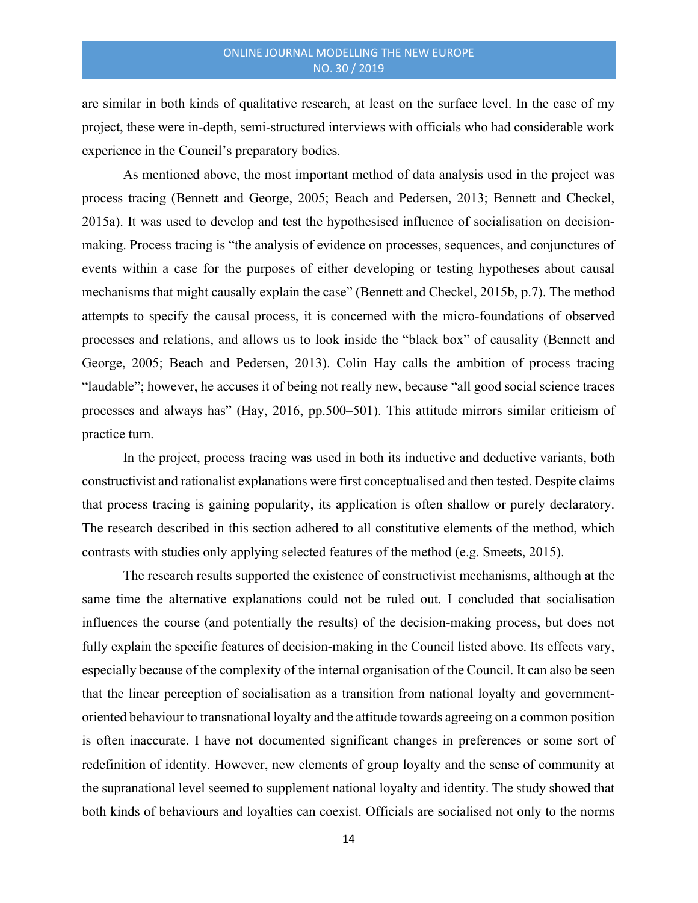are similar in both kinds of qualitative research, at least on the surface level. In the case of my project, these were in-depth, semi-structured interviews with officials who had considerable work experience in the Council's preparatory bodies.

As mentioned above, the most important method of data analysis used in the project was process tracing (Bennett and George, 2005; Beach and Pedersen, 2013; Bennett and Checkel, 2015a). It was used to develop and test the hypothesised influence of socialisation on decisionmaking. Process tracing is "the analysis of evidence on processes, sequences, and conjunctures of events within a case for the purposes of either developing or testing hypotheses about causal mechanisms that might causally explain the case" (Bennett and Checkel, 2015b, p.7). The method attempts to specify the causal process, it is concerned with the micro-foundations of observed processes and relations, and allows us to look inside the "black box" of causality (Bennett and George, 2005; Beach and Pedersen, 2013). Colin Hay calls the ambition of process tracing "laudable"; however, he accuses it of being not really new, because "all good social science traces processes and always has" (Hay, 2016, pp.500–501). This attitude mirrors similar criticism of practice turn.

In the project, process tracing was used in both its inductive and deductive variants, both constructivist and rationalist explanations were first conceptualised and then tested. Despite claims that process tracing is gaining popularity, its application is often shallow or purely declaratory. The research described in this section adhered to all constitutive elements of the method, which contrasts with studies only applying selected features of the method (e.g. Smeets, 2015).

The research results supported the existence of constructivist mechanisms, although at the same time the alternative explanations could not be ruled out. I concluded that socialisation influences the course (and potentially the results) of the decision-making process, but does not fully explain the specific features of decision-making in the Council listed above. Its effects vary, especially because of the complexity of the internal organisation of the Council. It can also be seen that the linear perception of socialisation as a transition from national loyalty and governmentoriented behaviour to transnational loyalty and the attitude towards agreeing on a common position is often inaccurate. I have not documented significant changes in preferences or some sort of redefinition of identity. However, new elements of group loyalty and the sense of community at the supranational level seemed to supplement national loyalty and identity. The study showed that both kinds of behaviours and loyalties can coexist. Officials are socialised not only to the norms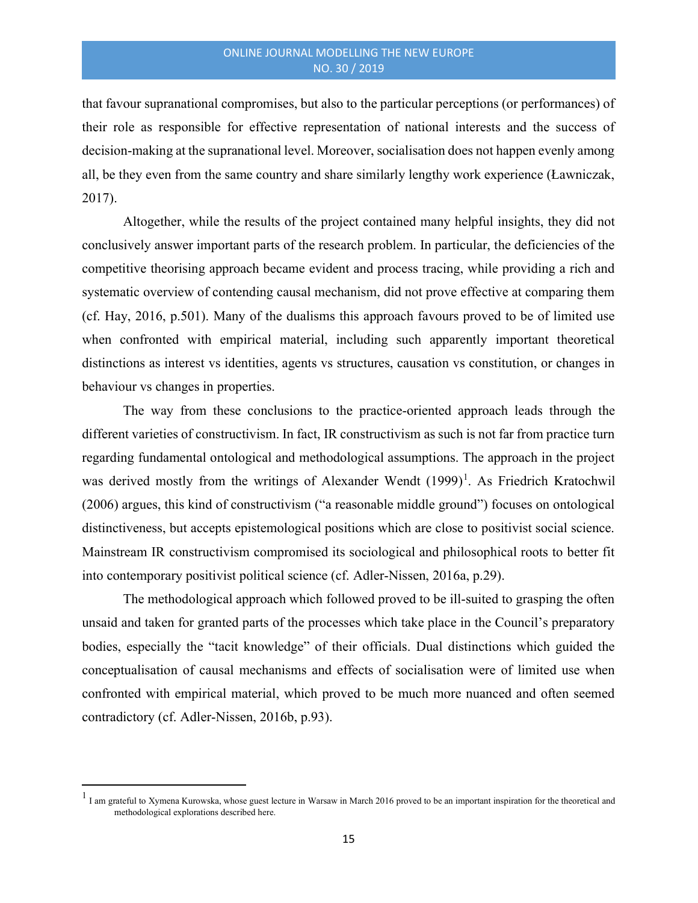that favour supranational compromises, but also to the particular perceptions (or performances) of their role as responsible for effective representation of national interests and the success of decision-making at the supranational level. Moreover, socialisation does not happen evenly among all, be they even from the same country and share similarly lengthy work experience (Ławniczak, 2017).

Altogether, while the results of the project contained many helpful insights, they did not conclusively answer important parts of the research problem. In particular, the deficiencies of the competitive theorising approach became evident and process tracing, while providing a rich and systematic overview of contending causal mechanism, did not prove effective at comparing them (cf. Hay, 2016, p.501). Many of the dualisms this approach favours proved to be of limited use when confronted with empirical material, including such apparently important theoretical distinctions as interest vs identities, agents vs structures, causation vs constitution, or changes in behaviour vs changes in properties.

The way from these conclusions to the practice-oriented approach leads through the different varieties of constructivism. In fact, IR constructivism as such is not far from practice turn regarding fundamental ontological and methodological assumptions. The approach in the project was derived mostly from the writings of Alexander Wendt (1999)<sup>1</sup>. As Friedrich Kratochwil (2006) argues, this kind of constructivism ("a reasonable middle ground") focuses on ontological distinctiveness, but accepts epistemological positions which are close to positivist social science. Mainstream IR constructivism compromised its sociological and philosophical roots to better fit into contemporary positivist political science (cf. Adler-Nissen, 2016a, p.29).

The methodological approach which followed proved to be ill-suited to grasping the often unsaid and taken for granted parts of the processes which take place in the Council's preparatory bodies, especially the "tacit knowledge" of their officials. Dual distinctions which guided the conceptualisation of causal mechanisms and effects of socialisation were of limited use when confronted with empirical material, which proved to be much more nuanced and often seemed contradictory (cf. Adler-Nissen, 2016b, p.93).

<sup>&</sup>lt;sup>1</sup> I am grateful to Xymena Kurowska, whose guest lecture in Warsaw in March 2016 proved to be an important inspiration for the theoretical and methodological explorations described here.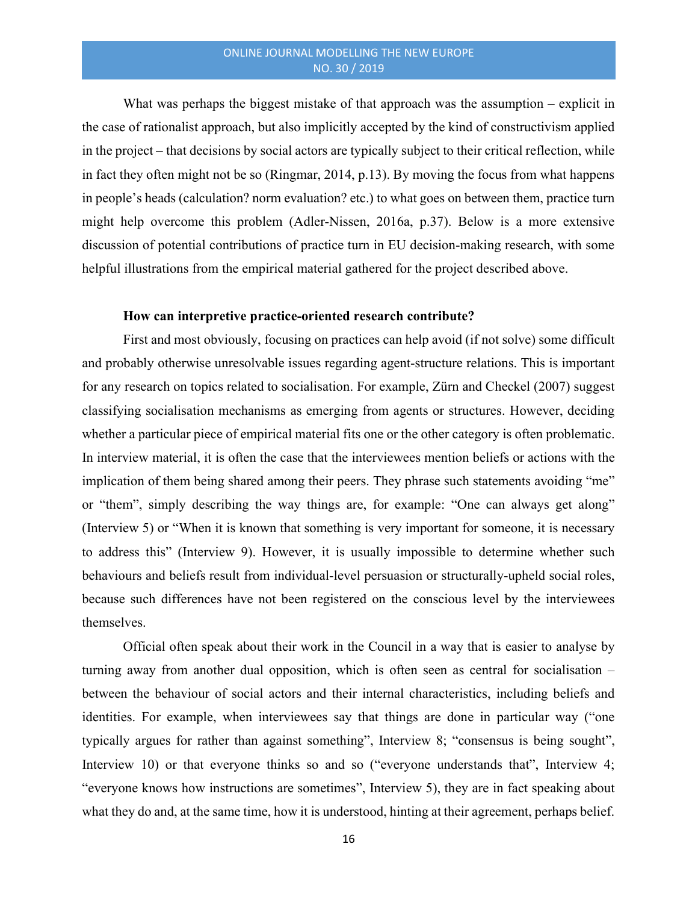What was perhaps the biggest mistake of that approach was the assumption – explicit in the case of rationalist approach, but also implicitly accepted by the kind of constructivism applied in the project – that decisions by social actors are typically subject to their critical reflection, while in fact they often might not be so (Ringmar, 2014, p.13). By moving the focus from what happens in people's heads (calculation? norm evaluation? etc.) to what goes on between them, practice turn might help overcome this problem (Adler-Nissen, 2016a, p.37). Below is a more extensive discussion of potential contributions of practice turn in EU decision-making research, with some helpful illustrations from the empirical material gathered for the project described above.

#### How can interpretive practice-oriented research contribute?

First and most obviously, focusing on practices can help avoid (if not solve) some difficult and probably otherwise unresolvable issues regarding agent-structure relations. This is important for any research on topics related to socialisation. For example, Zürn and Checkel (2007) suggest classifying socialisation mechanisms as emerging from agents or structures. However, deciding whether a particular piece of empirical material fits one or the other category is often problematic. In interview material, it is often the case that the interviewees mention beliefs or actions with the implication of them being shared among their peers. They phrase such statements avoiding "me" or "them", simply describing the way things are, for example: "One can always get along" (Interview 5) or "When it is known that something is very important for someone, it is necessary to address this" (Interview 9). However, it is usually impossible to determine whether such behaviours and beliefs result from individual-level persuasion or structurally-upheld social roles, because such differences have not been registered on the conscious level by the interviewees themselves.

Official often speak about their work in the Council in a way that is easier to analyse by turning away from another dual opposition, which is often seen as central for socialisation – between the behaviour of social actors and their internal characteristics, including beliefs and identities. For example, when interviewees say that things are done in particular way ("one typically argues for rather than against something", Interview 8; "consensus is being sought", Interview 10) or that everyone thinks so and so ("everyone understands that", Interview 4; "everyone knows how instructions are sometimes", Interview 5), they are in fact speaking about what they do and, at the same time, how it is understood, hinting at their agreement, perhaps belief.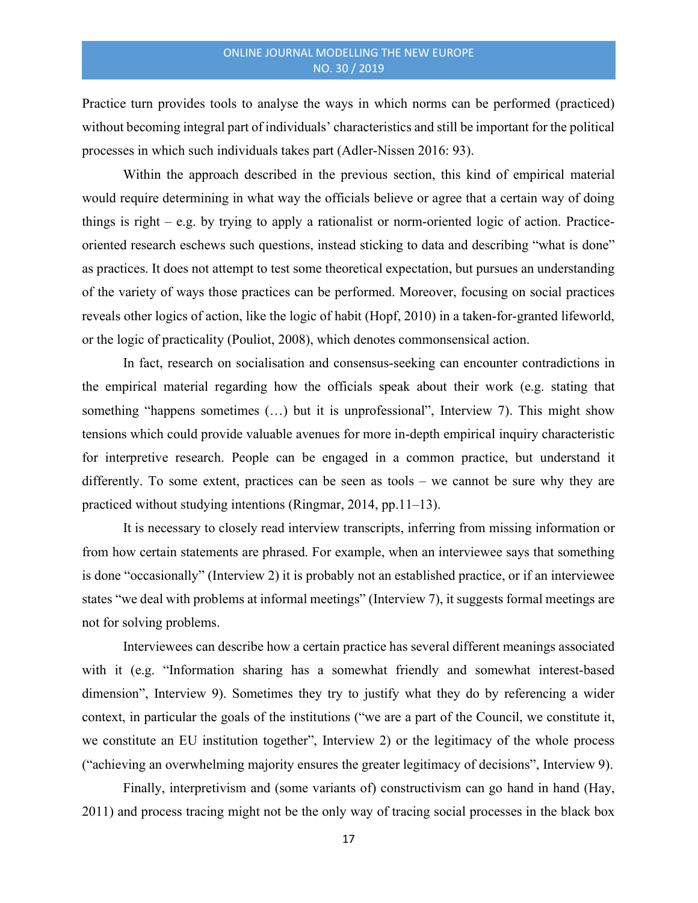Practice turn provides tools to analyse the ways in which norms can be performed (practiced) without becoming integral part of individuals' characteristics and still be important for the political processes in which such individuals takes part (Adler-Nissen 2016: 93).

Within the approach described in the previous section, this kind of empirical material would require determining in what way the officials believe or agree that a certain way of doing things is right – e.g. by trying to apply a rationalist or norm-oriented logic of action. Practiceoriented research eschews such questions, instead sticking to data and describing "what is done" as practices. It does not attempt to test some theoretical expectation, but pursues an understanding of the variety of ways those practices can be performed. Moreover, focusing on social practices reveals other logics of action, like the logic of habit (Hopf, 2010) in a taken-for-granted lifeworld, or the logic of practicality (Pouliot, 2008), which denotes commonsensical action.

In fact, research on socialisation and consensus-seeking can encounter contradictions in the empirical material regarding how the officials speak about their work (e.g. stating that something "happens sometimes (...) but it is unprofessional", Interview 7). This might show tensions which could provide valuable avenues for more in-depth empirical inquiry characteristic for interpretive research. People can be engaged in a common practice, but understand it differently. To some extent, practices can be seen as tools – we cannot be sure why they are practiced without studying intentions (Ringmar, 2014, pp.11–13).

It is necessary to closely read interview transcripts, inferring from missing information or from how certain statements are phrased. For example, when an interviewee says that something is done "occasionally" (Interview 2) it is probably not an established practice, or if an interviewee states "we deal with problems at informal meetings" (Interview 7), it suggests formal meetings are not for solving problems.

Interviewees can describe how a certain practice has several different meanings associated with it (e.g. "Information sharing has a somewhat friendly and somewhat interest-based dimension", Interview 9). Sometimes they try to justify what they do by referencing a wider context, in particular the goals of the institutions ("we are a part of the Council, we constitute it, we constitute an EU institution together", Interview 2) or the legitimacy of the whole process ("achieving an overwhelming majority ensures the greater legitimacy of decisions", Interview 9).

Finally, interpretivism and (some variants of) constructivism can go hand in hand (Hay, 2011) and process tracing might not be the only way of tracing social processes in the black box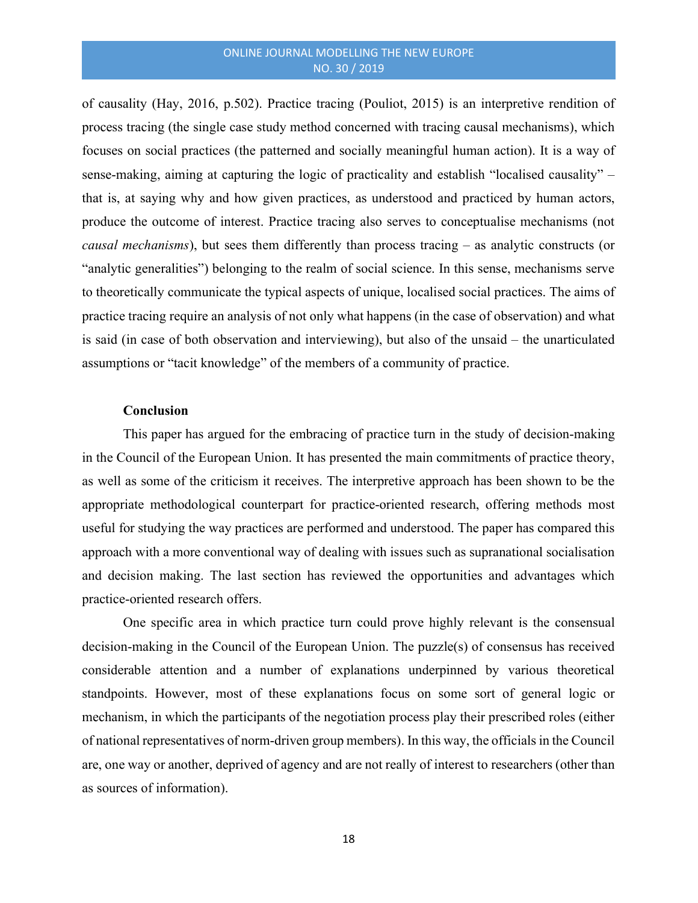of causality (Hay, 2016, p.502). Practice tracing (Pouliot, 2015) is an interpretive rendition of process tracing (the single case study method concerned with tracing causal mechanisms), which focuses on social practices (the patterned and socially meaningful human action). It is a way of sense-making, aiming at capturing the logic of practicality and establish "localised causality" – that is, at saying why and how given practices, as understood and practiced by human actors, produce the outcome of interest. Practice tracing also serves to conceptualise mechanisms (not causal mechanisms), but sees them differently than process tracing – as analytic constructs (or "analytic generalities") belonging to the realm of social science. In this sense, mechanisms serve to theoretically communicate the typical aspects of unique, localised social practices. The aims of practice tracing require an analysis of not only what happens (in the case of observation) and what is said (in case of both observation and interviewing), but also of the unsaid – the unarticulated assumptions or "tacit knowledge" of the members of a community of practice.

#### **Conclusion**

This paper has argued for the embracing of practice turn in the study of decision-making in the Council of the European Union. It has presented the main commitments of practice theory, as well as some of the criticism it receives. The interpretive approach has been shown to be the appropriate methodological counterpart for practice-oriented research, offering methods most useful for studying the way practices are performed and understood. The paper has compared this approach with a more conventional way of dealing with issues such as supranational socialisation and decision making. The last section has reviewed the opportunities and advantages which practice-oriented research offers.

One specific area in which practice turn could prove highly relevant is the consensual decision-making in the Council of the European Union. The puzzle(s) of consensus has received considerable attention and a number of explanations underpinned by various theoretical standpoints. However, most of these explanations focus on some sort of general logic or mechanism, in which the participants of the negotiation process play their prescribed roles (either of national representatives of norm-driven group members). In this way, the officials in the Council are, one way or another, deprived of agency and are not really of interest to researchers (other than as sources of information).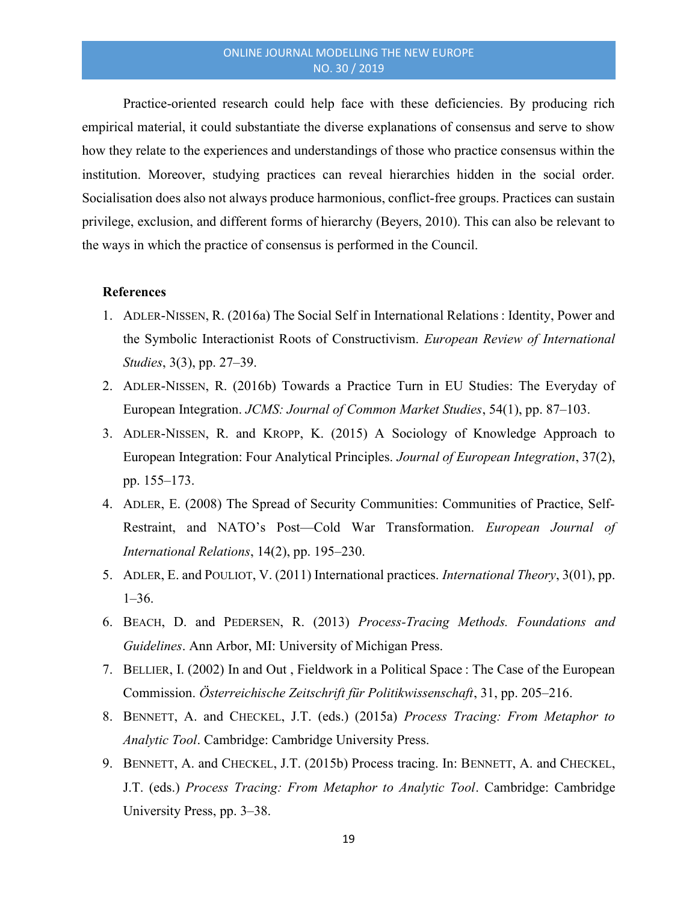Practice-oriented research could help face with these deficiencies. By producing rich empirical material, it could substantiate the diverse explanations of consensus and serve to show how they relate to the experiences and understandings of those who practice consensus within the institution. Moreover, studying practices can reveal hierarchies hidden in the social order. Socialisation does also not always produce harmonious, conflict-free groups. Practices can sustain privilege, exclusion, and different forms of hierarchy (Beyers, 2010). This can also be relevant to the ways in which the practice of consensus is performed in the Council.

#### **References**

- 1. ADLER-NISSEN, R. (2016a) The Social Self in International Relations : Identity, Power and the Symbolic Interactionist Roots of Constructivism. European Review of International Studies, 3(3), pp. 27–39.
- 2. ADLER-NISSEN, R. (2016b) Towards a Practice Turn in EU Studies: The Everyday of European Integration. JCMS: Journal of Common Market Studies, 54(1), pp. 87–103.
- 3. ADLER-NISSEN, R. and KROPP, K. (2015) A Sociology of Knowledge Approach to European Integration: Four Analytical Principles. Journal of European Integration, 37(2), pp. 155–173.
- 4. ADLER, E. (2008) The Spread of Security Communities: Communities of Practice, Self-Restraint, and NATO's Post—Cold War Transformation. European Journal of International Relations, 14(2), pp. 195–230.
- 5. ADLER, E. and POULIOT, V. (2011) International practices. International Theory, 3(01), pp. 1–36.
- 6. BEACH, D. and PEDERSEN, R. (2013) Process-Tracing Methods. Foundations and Guidelines. Ann Arbor, MI: University of Michigan Press.
- 7. BELLIER, I. (2002) In and Out , Fieldwork in a Political Space : The Case of the European Commission. Österreichische Zeitschrift für Politikwissenschaft, 31, pp. 205–216.
- 8. BENNETT, A. and CHECKEL, J.T. (eds.) (2015a) Process Tracing: From Metaphor to Analytic Tool. Cambridge: Cambridge University Press.
- 9. BENNETT, A. and CHECKEL, J.T. (2015b) Process tracing. In: BENNETT, A. and CHECKEL, J.T. (eds.) Process Tracing: From Metaphor to Analytic Tool. Cambridge: Cambridge University Press, pp. 3–38.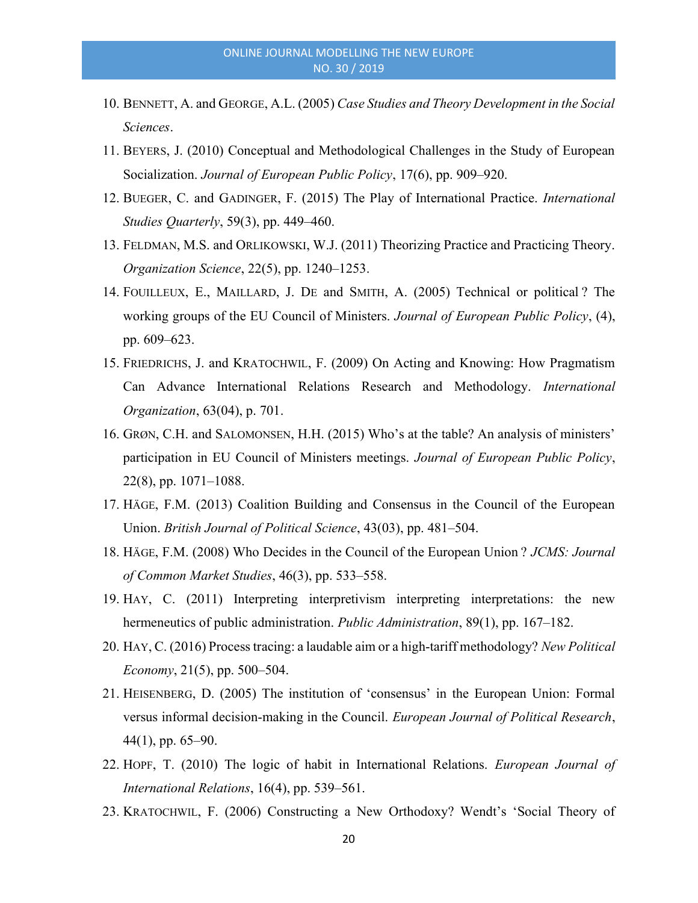- 10. BENNETT, A. and GEORGE, A.L. (2005) Case Studies and Theory Development in the Social Sciences.
- 11. BEYERS, J. (2010) Conceptual and Methodological Challenges in the Study of European Socialization. Journal of European Public Policy, 17(6), pp. 909–920.
- 12. BUEGER, C. and GADINGER, F. (2015) The Play of International Practice. International Studies Quarterly, 59(3), pp. 449–460.
- 13. FELDMAN, M.S. and ORLIKOWSKI, W.J. (2011) Theorizing Practice and Practicing Theory. Organization Science, 22(5), pp. 1240–1253.
- 14. FOUILLEUX, E., MAILLARD, J. DE and SMITH, A. (2005) Technical or political ? The working groups of the EU Council of Ministers. Journal of European Public Policy, (4), pp. 609–623.
- 15. FRIEDRICHS, J. and KRATOCHWIL, F. (2009) On Acting and Knowing: How Pragmatism Can Advance International Relations Research and Methodology. International Organization, 63(04), p. 701.
- 16. GRØN, C.H. and SALOMONSEN, H.H. (2015) Who's at the table? An analysis of ministers' participation in EU Council of Ministers meetings. Journal of European Public Policy, 22(8), pp. 1071–1088.
- 17. HÄGE, F.M. (2013) Coalition Building and Consensus in the Council of the European Union. British Journal of Political Science, 43(03), pp. 481–504.
- 18. HÄGE, F.M. (2008) Who Decides in the Council of the European Union ? JCMS: Journal of Common Market Studies, 46(3), pp. 533–558.
- 19. HAY, C. (2011) Interpreting interpretivism interpreting interpretations: the new hermeneutics of public administration. Public Administration, 89(1), pp. 167–182.
- 20. HAY, C. (2016) Process tracing: a laudable aim or a high-tariff methodology? New Political Economy,  $21(5)$ , pp. 500–504.
- 21. HEISENBERG, D. (2005) The institution of 'consensus' in the European Union: Formal versus informal decision-making in the Council. European Journal of Political Research, 44(1), pp. 65–90.
- 22. HOPF, T. (2010) The logic of habit in International Relations. European Journal of International Relations, 16(4), pp. 539–561.
- 23. KRATOCHWIL, F. (2006) Constructing a New Orthodoxy? Wendt's 'Social Theory of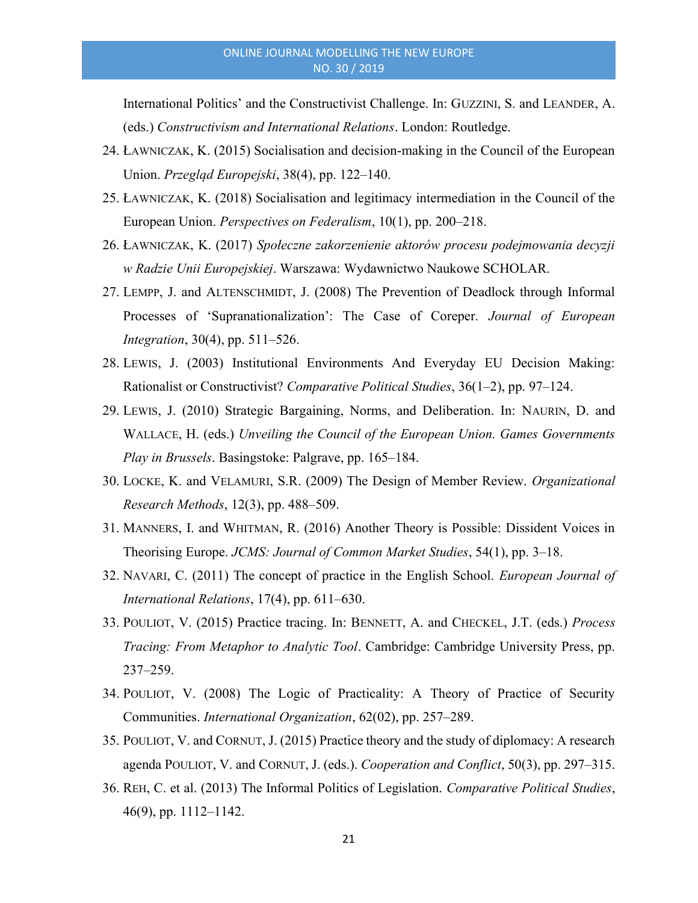International Politics' and the Constructivist Challenge. In: GUZZINI, S. and LEANDER, A. (eds.) Constructivism and International Relations. London: Routledge.

- 24. ŁAWNICZAK, K. (2015) Socialisation and decision-making in the Council of the European Union. Przegląd Europejski, 38(4), pp. 122–140.
- 25. ŁAWNICZAK, K. (2018) Socialisation and legitimacy intermediation in the Council of the European Union. Perspectives on Federalism, 10(1), pp. 200–218.
- 26. ŁAWNICZAK, K. (2017) Społeczne zakorzenienie aktorów procesu podejmowania decyzji w Radzie Unii Europejskiej. Warszawa: Wydawnictwo Naukowe SCHOLAR.
- 27. LEMPP, J. and ALTENSCHMIDT, J. (2008) The Prevention of Deadlock through Informal Processes of 'Supranationalization': The Case of Coreper. Journal of European Integration, 30(4), pp. 511–526.
- 28. LEWIS, J. (2003) Institutional Environments And Everyday EU Decision Making: Rationalist or Constructivist? Comparative Political Studies, 36(1–2), pp. 97–124.
- 29. LEWIS, J. (2010) Strategic Bargaining, Norms, and Deliberation. In: NAURIN, D. and WALLACE, H. (eds.) Unveiling the Council of the European Union. Games Governments Play in Brussels. Basingstoke: Palgrave, pp. 165–184.
- 30. LOCKE, K. and VELAMURI, S.R. (2009) The Design of Member Review. Organizational Research Methods, 12(3), pp. 488–509.
- 31. MANNERS, I. and WHITMAN, R. (2016) Another Theory is Possible: Dissident Voices in Theorising Europe. JCMS: Journal of Common Market Studies, 54(1), pp. 3–18.
- 32. NAVARI, C. (2011) The concept of practice in the English School. *European Journal of* International Relations, 17(4), pp. 611–630.
- 33. POULIOT, V. (2015) Practice tracing. In: BENNETT, A. and CHECKEL, J.T. (eds.) Process Tracing: From Metaphor to Analytic Tool. Cambridge: Cambridge University Press, pp. 237–259.
- 34. POULIOT, V. (2008) The Logic of Practicality: A Theory of Practice of Security Communities. International Organization, 62(02), pp. 257–289.
- 35. POULIOT, V. and CORNUT, J. (2015) Practice theory and the study of diplomacy: A research agenda POULIOT, V. and CORNUT, J. (eds.). Cooperation and Conflict, 50(3), pp. 297–315.
- 36. REH, C. et al. (2013) The Informal Politics of Legislation. Comparative Political Studies, 46(9), pp. 1112–1142.